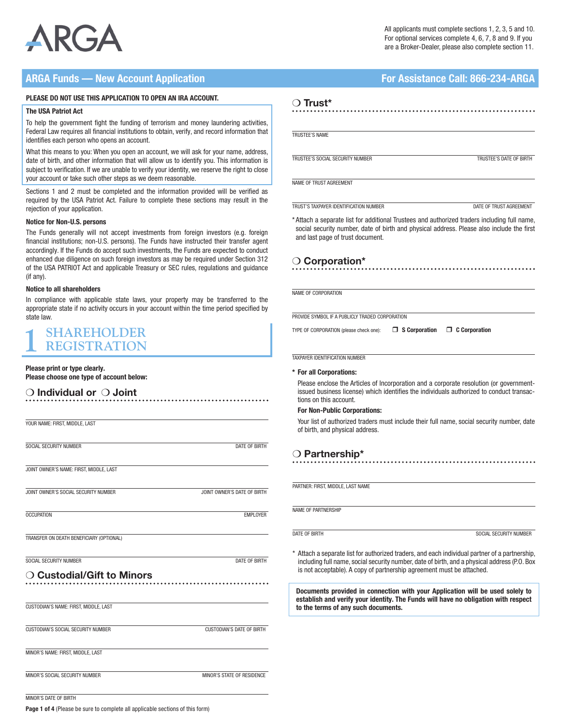

## ARGA Funds — New Account Application **For Assistance Call: 866-234-ARGA**

## PLEASE DO NOT USE THIS APPLICATION TO OPEN AN IRA ACCOUNT.

#### The USA Patriot Act

To help the government fight the funding of terrorism and money laundering activities, Federal Law requires all financial institutions to obtain, verify, and record information that identifies each person who opens an account.

What this means to you: When you open an account, we will ask for your name, address, date of birth, and other information that will allow us to identify you. This information is subject to verification. If we are unable to verify your identity, we reserve the right to close your account or take such other steps as we deem reasonable.

Sections 1 and 2 must be completed and the information provided will be verified as required by the USA Patriot Act. Failure to complete these sections may result in the rejection of your application.

### Notice for Non-U.S. persons

The Funds generally will not accept investments from foreign investors (e.g. foreign financial institutions; non-U.S. persons). The Funds have instructed their transfer agent accordingly. If the Funds do accept such investments, the Funds are expected to conduct enhanced due diligence on such foreign investors as may be required under Section 312 of the USA PATRIOT Act and applicable Treasury or SEC rules, regulations and guidance (if any).

#### Notice to all shareholders

In compliance with applicable state laws, your property may be transferred to the appropriate state if no activity occurs in your account within the time period specified by state law.

## **1 SHAREHOLDER REGISTRATION**

## Please print or type clearly.

Please choose one type of account below:

## $\bigcirc$  Individual or  $\bigcirc$  Joint

| YOUR NAME: FIRST, MIDDLE, LAST           |                             |
|------------------------------------------|-----------------------------|
| SOCIAL SECURITY NUMBER                   | <b>DATE OF BIRTH</b>        |
| JOINT OWNER'S NAME: FIRST, MIDDLE, LAST  |                             |
| JOINT OWNER'S SOCIAL SECURITY NUMBER     | JOINT OWNER'S DATE OF BIRTH |
| <b>OCCUPATION</b>                        | <b>EMPLOYER</b>             |
| TRANSFER ON DEATH BENEFICIARY (OPTIONAL) |                             |
| SOCIAL SECURITY NUMBER                   | DATE OF BIRTH               |
| $\supset$ Custodial/Gift to Minors       |                             |
| CUSTODIAN'S NAME: FIRST, MIDDLE, LAST    |                             |
| CUSTODIAN'S SOCIAL SECURITY NUMBER       | CUSTODIAN'S DATE OF BIRTH   |
| MINOR'S NAME: FIRST, MIDDLE, LAST        |                             |
| MINOR'S SOCIAL SECURITY NUMBER           | MINOR'S STATE OF RESIDENCE  |

## ❍ Trust\*

TRUSTEE'S NAME

TRUSTEE'S SOCIAL SECURITY NUMBER TRUSTEE'S DATE OF BIRTH

NAME OF TRUST AGREEMENT

TRUST'S TAXPAYER IDENTIFICATION NUMBER DATE OF TRUST AGREEMENT

\* Attach a separate list for additional Trustees and authorized traders including full name, social security number, date of birth and physical address. Please also include the first and last page of trust document.

## ❍ Corporation\*

NAME OF CORPORATION

PROVIDE SYMBOL IF A PUBLICLY TRADED CORPORATION

TYPE OF CORPORATION (please check one):  $\Box$  S Corporation  $\Box$  C Corporation

TAXPAYER IDENTIFICATION NUMBER

## \* For all Corporations:

Please enclose the Articles of Incorporation and a corporate resolution (or governmentissued business license) which identifies the individuals authorized to conduct transactions on this account.

## For Non-Public Corporations:

Your list of authorized traders must include their full name, social security number, date of birth, and physical address.

## ❍ Partnership\*

PARTNER: FIRST, MIDDLE, LAST NAME

NAME OF PARTNERSHIP

**DATE OF BIRTH SOCIAL SECURITY NUMBER** 

\* Attach a separate list for authorized traders, and each individual partner of a partnership, including full name, social security number, date of birth, and a physical address (P.O. Box is not acceptable). A copy of partnership agreement must be attached.

Documents provided in connection with your Application will be used solely to establish and verify your identity. The Funds will have no obligation with respect to the terms of any such documents.

MINOR'S DATE OF BIRTH

Page 1 of 4 (Please be sure to complete all applicable sections of this form)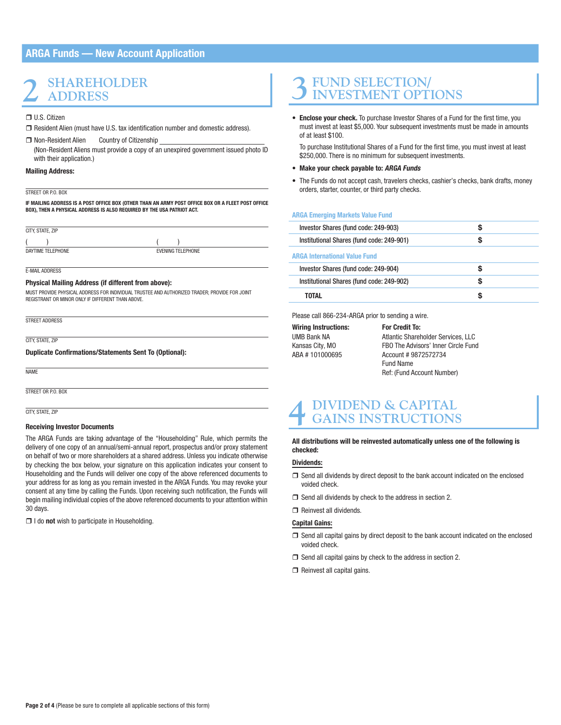## ARGA Funds — New Account Application

## **2 SHAREHOLDER ADDRESS**

## □ U.S. Citizen

- $\Box$  Resident Alien (must have U.S. tax identification number and domestic address).
- □ Non-Resident Alien Country of Citizenship (Non-Resident Aliens must provide a copy of an unexpired government issued photo ID with their application.)

### Mailing Address:

#### STREET OR PO. BOX

IF MAILING ADDRESS IS A POST OFFICE BOX (OTHER THAN AN ARMY POST OFFICE BOX OR A FLEET POST OFFICE BOX), THEN A PHYSICAL ADDRESS IS ALSO REQUIRED BY THE USA PATRIOT ACT.

CITY STATE ZIP  $($  ) ( ) **DAYTIME TELEPHONE** EVENING TELEPHONE

E-MAIL ADDRESS

### Physical Mailing Address (if different from above):

MUST PROVIDE PHYSICAL ADDRESS FOR INDIVIDUAL TRUSTEE AND AUTHORIZED TRADER; PROVIDE FOR JOINT REGISTRANT OR MINOR ONLY IF DIFFERENT THAN ABOVE.

STREET ADDRESS

CITY STATE **ZIP** 

### Duplicate Confirmations/Statements Sent To (Optional):

NAME

STREET OR P.O. BOX

CITY, STATE, ZIP

### Receiving Investor Documents

The ARGA Funds are taking advantage of the "Householding" Rule, which permits the delivery of one copy of an annual/semi-annual report, prospectus and/or proxy statement on behalf of two or more shareholders at a shared address. Unless you indicate otherwise by checking the box below, your signature on this application indicates your consent to Householding and the Funds will deliver one copy of the above referenced documents to your address for as long as you remain invested in the ARGA Funds. You may revoke your consent at any time by calling the Funds. Upon receiving such notification, the Funds will begin mailing individual copies of the above referenced documents to your attention within 30 days.

 $\Box$  I do not wish to participate in Householding.

# **3FUND SELECTION/ INVESTMENT OPTIONS**

• Enclose your check. To purchase Investor Shares of a Fund for the first time, you must invest at least \$5,000. Your subsequent investments must be made in amounts of at least \$100.

To purchase Institutional Shares of a Fund for the first time, you must invest at least \$250,000. There is no minimum for subsequent investments.

## • Make your check payable to: ARGA Funds

• The Funds do not accept cash, travelers checks, cashier's checks, bank drafts, money orders, starter, counter, or third party checks.

#### ARGA Emerging Markets Value Fund

| Investor Shares (fund code: 249-903)      | S |  |
|-------------------------------------------|---|--|
| Institutional Shares (fund code: 249-901) | S |  |
| <b>ARGA International Value Fund</b>      |   |  |
| Investor Shares (fund code: 249-904)      | S |  |
| Institutional Shares (fund code: 249-902) | S |  |
| TOTAL                                     | S |  |
|                                           |   |  |

Please call 866-234-ARGA prior to sending a wire.

Wiring Instructions: For Credit To:

UMB Bank NA **Atlantic Shareholder Services, LLC**<br>Kansas City, MO **FBO The Advisors' Inner Circle Fun** FBO The Advisors' Inner Circle Fund ABA # 101000695 Account # 9872572734 Fund Name Ref: (Fund Account Number)

## **4 DIVIDEND & CAPITAL GAINS INSTRUCTIONS**

All distributions will be reinvested automatically unless one of the following is checked:

## Dividends:

- $\Box$  Send all dividends by direct deposit to the bank account indicated on the enclosed voided check.
- $\Box$  Send all dividends by check to the address in section 2.
- Reinvest all dividends.

## Capital Gains:

- $\Box$  Send all capital gains by direct deposit to the bank account indicated on the enclosed voided check.
- $\Box$  Send all capital gains by check to the address in section 2.
- $\Box$  Reinvest all capital gains.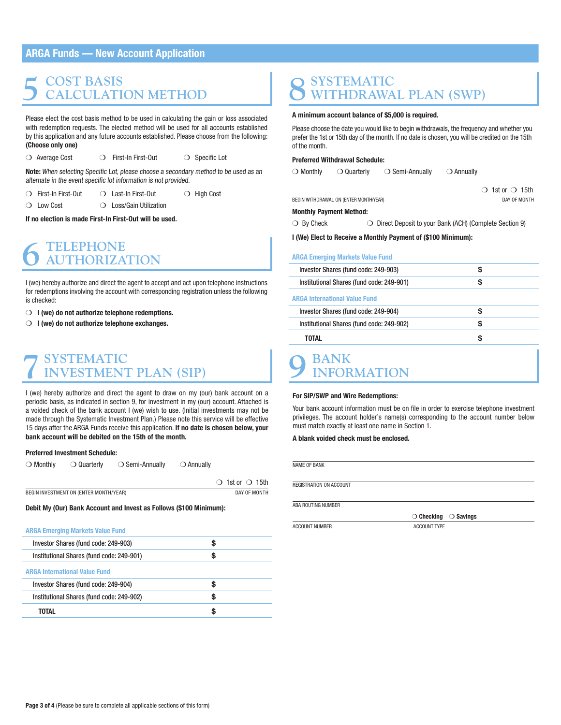## ARGA Funds — New Account Application

## **5 COST BASIS CALCULATION METHOD**

Please elect the cost basis method to be used in calculating the gain or loss associated with redemption requests. The elected method will be used for all accounts established by this application and any future accounts established. Please choose from the following: (Choose only one)

❍ Average Cost ❍ First-In First-Out ❍ Specific Lot

Note: When selecting Specific Lot, please choose a secondary method to be used as an alternate in the event specific lot information is not provided.

- ❍ First-In First-Out ❍ Last-In First-Out ❍ High Cost
- 

❍ Low Cost ❍ Loss/Gain Utilization

If no election is made First-In First-Out will be used.

# **6 TELEPHONE AUTHORIZATION**

I (we) hereby authorize and direct the agent to accept and act upon telephone instructions for redemptions involving the account with corresponding registration unless the following is checked:

- ◯ I (we) do not authorize telephone redemptions.
- $\bigcirc$  I (we) do not authorize telephone exchanges.

# **7SYSTEMATIC INVESTMENT PLAN (SIP)**

I (we) hereby authorize and direct the agent to draw on my (our) bank account on a periodic basis, as indicated in section 9, for investment in my (our) account. Attached is a voided check of the bank account I (we) wish to use. (Initial investments may not be made through the Systematic Investment Plan.) Please note this service will be effective 15 days after the ARGA Funds receive this application. If no date is chosen below, your bank account will be debited on the 15th of the month.

## Preferred Investment Schedule:

| $\bigcirc$ Monthly<br>$\bigcirc$ Semi-Annually<br>$\bigcirc$ Annually<br>$\supset$ Quarterly |
|----------------------------------------------------------------------------------------------|
|----------------------------------------------------------------------------------------------|

|                                        | $\bigcirc$ 1st or $\bigcirc$ 15th |
|----------------------------------------|-----------------------------------|
| BEGIN INVESTMENT ON (ENTER MONTH/YEAR) | DAY OF MONTH                      |

Debit My (Our) Bank Account and Invest as Follows (\$100 Minimum):

#### ARGA Emerging Markets Value Fund

| Investor Shares (fund code: 249-903)      | S |
|-------------------------------------------|---|
| Institutional Shares (fund code: 249-901) | S |
| <b>ARGA International Value Fund</b>      |   |
| Investor Shares (fund code: 249-904)      |   |
| Institutional Shares (fund code: 249-902) | S |
| TOTAL                                     |   |

# **8SYSTEMATIC WITHDRAWAL PLAN (SWP)**

## A minimum account balance of \$5,000 is required.

Please choose the date you would like to begin withdrawals, the frequency and whether you prefer the 1st or 15th day of the month. If no date is chosen, you will be credited on the 15th of the month.

## Preferred Withdrawal Schedule:

| $\bigcirc$ Monthly | $\bigcirc$ Quarterly                   | $\bigcirc$ Semi-Annually | ○ Annually |                             |  |
|--------------------|----------------------------------------|--------------------------|------------|-----------------------------|--|
|                    |                                        |                          |            | $\circ$ 1st or $\circ$ 15th |  |
|                    | BEGIN WITHDRAWAL ON (ENTER MONTH/YEAR) |                          |            | DAY OF MONTH                |  |

## Monthly Payment Method:

❍ By Check ❍ Direct Deposit to your Bank (ACH) (Complete Section 9)

I (We) Elect to Receive a Monthly Payment of (\$100 Minimum):

## ARGA Emerging Markets Value Fund

| Investor Shares (fund code: 249-903)      | \$ |
|-------------------------------------------|----|
| Institutional Shares (fund code: 249-901) | S  |
| <b>ARGA International Value Fund</b>      |    |
| Investor Shares (fund code: 249-904)      | S  |
| Institutional Shares (fund code: 249-902) | S  |
| <b>TOTAL</b>                              | S  |
| <b>BANK</b><br><b>INFORMATION</b>         |    |

#### For SIP/SWP and Wire Redemptions:

Your bank account information must be on file in order to exercise telephone investment privileges. The account holder's name(s) corresponding to the account number below must match exactly at least one name in Section 1.

## A blank voided check must be enclosed.

NAME OF BANK

REGISTRATION ON ACCOUNT

ABA ROUTING NUMBER

ACCOUNT NUMBER ACCOUNT TYPE

❍ Checking ❍ Savings